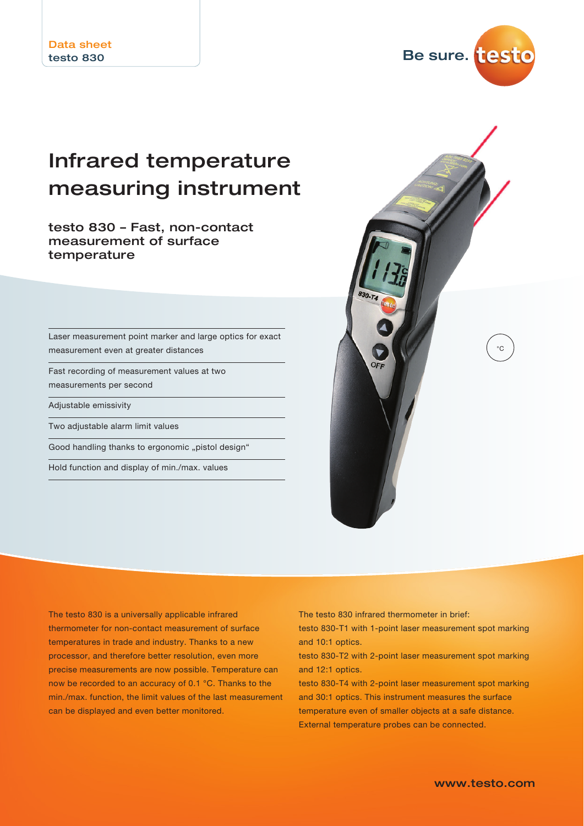

# Infrared temperature measuring instrument

testo 830 – Fast, non-contact measurement of surface temperature

Laser measurement point marker and large optics for exact measurement even at greater distances

Fast recording of measurement values at two measurements per second

Adjustable emissivity

Two adjustable alarm limit values

Good handling thanks to ergonomic "pistol design"

Hold function and display of min./max. values



The testo 830 is a universally applicable infrared thermometer for non-contact measurement of surface temperatures in trade and industry. Thanks to a new processor, and therefore better resolution, even more precise measurements are now possible. Temperature can now be recorded to an accuracy of 0.1 °C. Thanks to the min./max. function, the limit values of the last measurement can be displayed and even better monitored.

The testo 830 infrared thermometer in brief:

testo 830-T1 with 1-point laser measurement spot marking and 10:1 optics.

testo 830-T2 with 2-point laser measurement spot marking and 12:1 optics.

testo 830-T4 with 2-point laser measurement spot marking and 30:1 optics. This instrument measures the surface temperature even of smaller objects at a safe distance. External temperature probes can be connected.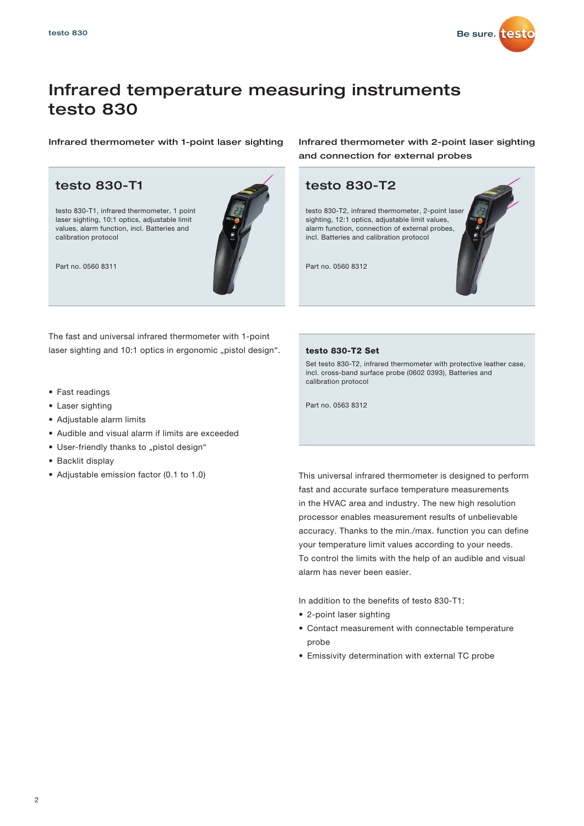

### Infrared temperature measuring instruments testo 830

testo 830-T1, infrared thermometer, 1 point laser sighting, 10:1 optics, adjustable limit values, alarm function, incl. Batteries and calibration protocol



The fast and universal infrared thermometer with 1-point laser sighting and 10:1 optics in ergonomic "pistol design".

- Fast readings
- Laser sighting
- Adjustable alarm limits
- Audible and visual alarm if limits are exceeded
- User-friendly thanks to "pistol design"
- Backlit display
- Adjustable emission factor (0.1 to 1.0)

Infrared thermometer with 1-point laser sighting Infrared thermometer with 2-point laser sighting and connection for external probes



### testo 830-T2 Set

Set testo 830-T2, infrared thermometer with protective leather case, incl. cross-band surface probe (0602 0393), Batteries and calibration protocol

Part no. 0563 8312

This universal infrared thermometer is designed to perform fast and accurate surface temperature measurements in the HVAC area and industry. The new high resolution processor enables measurement results of unbelievable accuracy. Thanks to the min./max. function you can define your temperature limit values according to your needs. To control the limits with the help of an audible and visual alarm has never been easier.

In addition to the benefits of testo 830-T1:

- 2-point laser sighting
- Contact measurement with connectable temperature probe
- Emissivity determination with external TC probe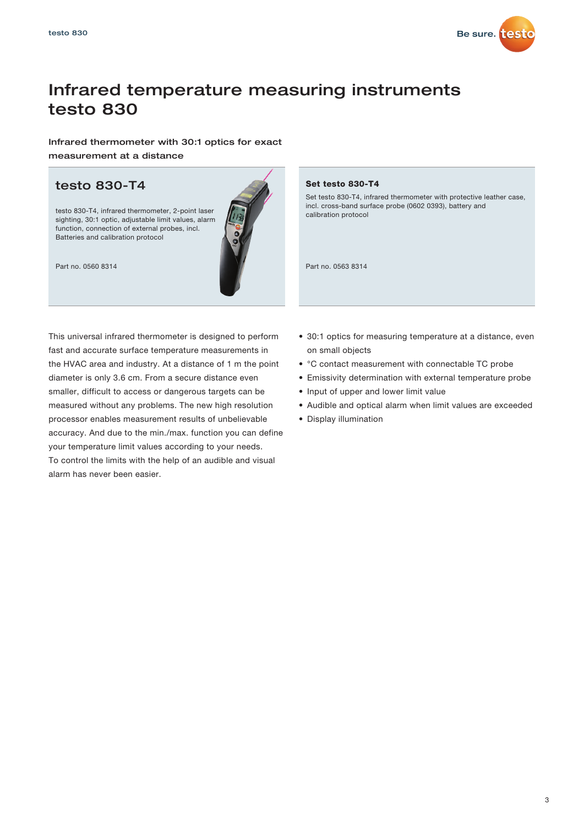

## Infrared temperature measuring instruments testo 830

Infrared thermometer with 30:1 optics for exact measurement at a distance

### testo 830-T4

testo 830-T4, infrared thermometer, 2-point laser sighting, 30:1 optic, adjustable limit values, alarm function, connection of external probes, incl. Batteries and calibration protocol



This universal infrared thermometer is designed to perform fast and accurate surface temperature measurements in the HVAC area and industry. At a distance of 1 m the point diameter is only 3.6 cm. From a secure distance even smaller, difficult to access or dangerous targets can be measured without any problems. The new high resolution processor enables measurement results of unbelievable accuracy. And due to the min./max. function you can define your temperature limit values according to your needs. To control the limits with the help of an audible and visual alarm has never been easier.

### Set testo 830-T4

Set testo 830-T4, infrared thermometer with protective leather case, incl. cross-band surface probe (0602 0393), battery and calibration protocol

- 30:1 optics for measuring temperature at a distance, even on small objects
- °C contact measurement with connectable TC probe
- Emissivity determination with external temperature probe
- Input of upper and lower limit value
- Audible and optical alarm when limit values are exceeded
- Display illumination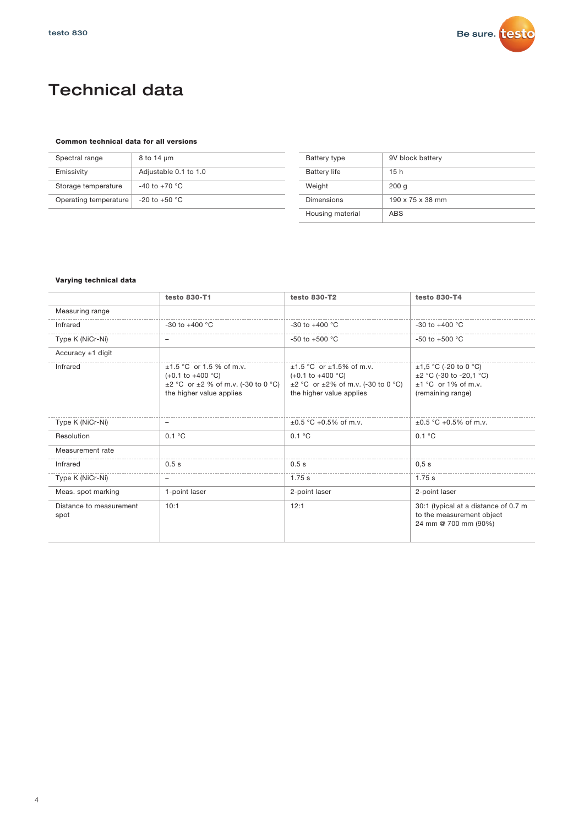

## Technical data

### Common technical data for all versions

| Spectral range        | 8 to 14 um            | <b>Batt</b> |
|-----------------------|-----------------------|-------------|
| Emissivity            | Adjustable 0.1 to 1.0 | <b>Batt</b> |
| Storage temperature   | $-40$ to $+70$ °C     | Wei         |
| Operating temperature | $-20$ to $+50$ °C     | Dim         |
|                       |                       |             |

| Battery type        | 9V block battery             |
|---------------------|------------------------------|
| <b>Battery life</b> | 15h                          |
| Weight              | 200q                         |
| Dimensions          | $190 \times 75 \times 38$ mm |
| Housing material    | <b>ABS</b>                   |

### Varying technical data

|                                 | testo 830-T1                                                                                                                                   | testo 830-T2                                                                                                                                     | testo 830-T4                                                                                             |
|---------------------------------|------------------------------------------------------------------------------------------------------------------------------------------------|--------------------------------------------------------------------------------------------------------------------------------------------------|----------------------------------------------------------------------------------------------------------|
| Measuring range                 |                                                                                                                                                |                                                                                                                                                  |                                                                                                          |
| Infrared                        | $-30$ to $+400$ °C                                                                                                                             | -30 to +400 $^{\circ}$ C                                                                                                                         | $-30$ to $+400$ °C                                                                                       |
| Type K (NiCr-Ni)                | -                                                                                                                                              | -50 to +500 $^{\circ}$ C                                                                                                                         | -50 to +500 $^{\circ}$ C                                                                                 |
| Accuracy $±1$ digit             |                                                                                                                                                |                                                                                                                                                  |                                                                                                          |
| Infrared                        | $±1.5$ °C or 1.5 % of m.v.<br>$(+0.1 \text{ to } +400 \degree C)$<br>$\pm 2$ °C or $\pm 2$ % of m.v. (-30 to 0 °C)<br>the higher value applies | $±1.5$ °C or $±1.5%$ of m.v.<br>$(+0.1 \text{ to } +400 \degree C)$<br>$\pm 2$ °C or $\pm 2\%$ of m.v. (-30 to 0 °C)<br>the higher value applies | $±1,5$ °C (-20 to 0 °C)<br>$\pm 2$ °C (-30 to -20,1 °C)<br>$\pm 1$ °C or 1% of m.v.<br>(remaining range) |
| Type K (NiCr-Ni)                |                                                                                                                                                | $\pm 0.5$ °C +0.5% of m.v.                                                                                                                       | $\pm 0.5$ °C +0.5% of m.v.                                                                               |
| Resolution                      | 0.1 °C                                                                                                                                         | 0.1 °C                                                                                                                                           | 0.1 °C                                                                                                   |
| Measurement rate                |                                                                                                                                                |                                                                                                                                                  |                                                                                                          |
| Infrared                        | 0.5s                                                                                                                                           | 0.5s                                                                                                                                             | 0.5s                                                                                                     |
| Type K (NiCr-Ni)                | -                                                                                                                                              | 1.75 s                                                                                                                                           | $1.75$ s                                                                                                 |
| Meas. spot marking              | 1-point laser                                                                                                                                  | 2-point laser                                                                                                                                    | 2-point laser                                                                                            |
| Distance to measurement<br>spot | 10:1                                                                                                                                           | 12:1                                                                                                                                             | 30:1 (typical at a distance of 0.7 m<br>to the measurement object<br>24 mm @ 700 mm (90%)                |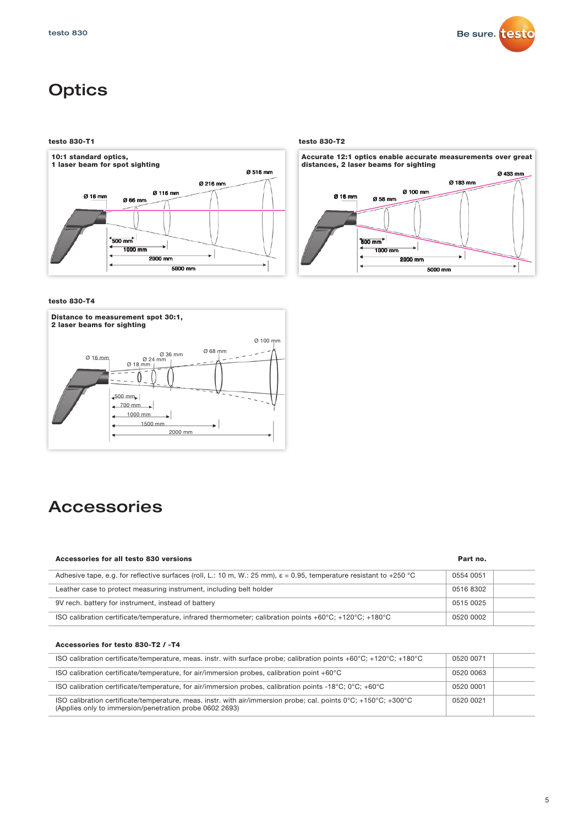

## **Optics**

testo 830-T1 testo 830-T2



testo 830-T4



## Accessories

### Accessories for all testo 830 versions Part no.

| Adhesive tape, e.g. for reflective surfaces (roll, L.: 10 m, W.: 25 mm), $\varepsilon$ = 0.95, temperature resistant to +250 °C | 0554 0051 |  |
|---------------------------------------------------------------------------------------------------------------------------------|-----------|--|
| Leather case to protect measuring instrument, including belt holder                                                             | 0516 8302 |  |
|                                                                                                                                 |           |  |
| 9V rech. battery for instrument, instead of battery                                                                             | 0515 0025 |  |
| ISO calibration certificate/temperature, infrared thermometer; calibration points +60°C; +120°C; +180°C                         | 0520 0002 |  |

### Accessories for testo 830-T2 / -T4

|                            | Ø 58 mm<br>Ø 66 mm<br>$500 \text{ mm}$<br>$500$ mm $2$<br>1000 mm<br>$1000$ mm<br>2000 mm<br>2000 mm<br>5000 mm<br>5000 mm                                                                                                 |                        |
|----------------------------|----------------------------------------------------------------------------------------------------------------------------------------------------------------------------------------------------------------------------|------------------------|
| testo 830-T4               |                                                                                                                                                                                                                            |                        |
| 2 laser beams for sighting | Distance to measurement spot 30:1,                                                                                                                                                                                         |                        |
| Ø 16 mm                    | Ø 68 mm<br>Ø 36 mm<br>Ø 24 mm<br>Ø 18, mm<br>$-500$ mm<br>$\longrightarrow$ 700 mm                                                                                                                                         |                        |
|                            | 1000 mm<br>1500 mm<br>2000 mm<br>Accessories                                                                                                                                                                               |                        |
|                            | Accessories for all testo 830 versions                                                                                                                                                                                     | Part no.               |
|                            | Adhesive tape, e.g. for reflective surfaces (roll, L.: 10 m, W.: 25 mm), $\varepsilon$ = 0.95, temperature resistant to +250 °C                                                                                            | 0554 0051              |
|                            | Leather case to protect measuring instrument, including belt holder                                                                                                                                                        | 0516 8302              |
|                            | 9V rech. battery for instrument, instead of battery                                                                                                                                                                        | 0515 0025              |
|                            | ISO calibration certificate/temperature, infrared thermometer; calibration points +60 $^{\circ}$ C; +120 $^{\circ}$ C; +180 $^{\circ}$ C                                                                                   | 0520 0002              |
|                            | Accessories for testo 830-T2 / -T4                                                                                                                                                                                         |                        |
|                            | ISO calibration certificate/temperature, meas. instr. with surface probe; calibration points +60°C; +120°C; +180°C                                                                                                         | 0520 0071              |
|                            | ISO calibration certificate/temperature, for air/immersion probes, calibration point +60°C                                                                                                                                 | 0520 0063              |
|                            | ISO calibration certificate/temperature, for air/immersion probes, calibration points -18°C; 0°C; +60°C<br>ISO calibration certificate/temperature, meas. instr. with air/immersion probe; cal. points 0°C; +150°C; +300°C | 0520 0001<br>0520 0021 |

#### Ø 433 mm Ø 183 mm Accurate 12:1 optics enable accurate measurements over great distances, 2 laser beams for sighting

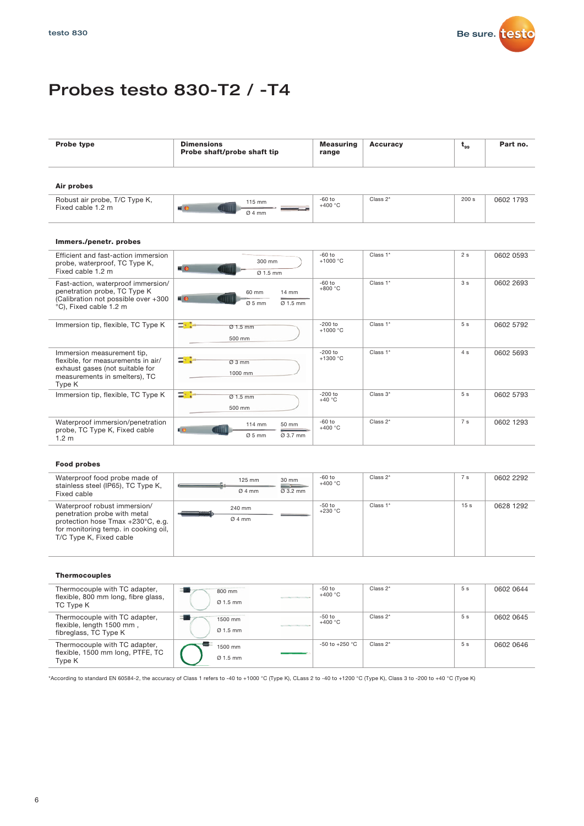

## Probes testo 830-T2 / -T4

| <b>Probe type</b> | <b>Dimensions</b><br>Probe shaft/probe shaft tip | <b>Measuring</b><br>range | <b>Accuracy</b> | $t_{99}$ | Part no. |
|-------------------|--------------------------------------------------|---------------------------|-----------------|----------|----------|
| Air probes        |                                                  |                           |                 |          |          |

| Robust air probe, T/C Type K,<br>Fixed cable 1.2 m | $15 \text{ mm}$<br>السا<br>-<br>Ø4mm | $-60$ to<br>$+400 °C$ | Class 2* | 200 s | 0602 1793 |
|----------------------------------------------------|--------------------------------------|-----------------------|----------|-------|-----------|

### Immers./penetr. probes

| Efficient and fast-action immersion<br>probe, waterproof, TC Type K,<br>Fixed cable 1.2 m                                                      | 300 mm<br>$\blacksquare$<br>$Ø$ 1.5 mm                               | $-60$ to<br>$+1000 °C$  | Class 1* | 2s             | 0602 0593 |
|------------------------------------------------------------------------------------------------------------------------------------------------|----------------------------------------------------------------------|-------------------------|----------|----------------|-----------|
| Fast-action, waterproof immersion/<br>penetration probe, TC Type K<br>(Calibration not possible over +300<br>°C), Fixed cable 1.2 m            | $14 \text{ mm}$<br>60 mm<br>$\blacksquare$<br>$0.5$ mm<br>$Q$ 1.5 mm | $-60$ to<br>$+800 °C$   | Class 1* | 3s             | 0602 2693 |
| Immersion tip, flexible, TC Type K                                                                                                             | 다개<br>$Ø$ 1.5 mm<br>500 mm                                           | $-200$ to<br>$+1000 °C$ | Class 1* | 5s             | 0602 5792 |
| Immersion measurement tip,<br>flexible, for measurements in air/<br>exhaust gases (not suitable for<br>measurements in smelters), TC<br>Type K | ⇒≯<br>Ø3mm<br>1000 mm                                                | $-200$ to<br>$+1300 °C$ | Class 1* | 4 s            | 0602 5693 |
| Immersion tip, flexible, TC Type K                                                                                                             | 그만<br>$Q$ 1.5 mm<br>500 mm                                           | $-200$ to<br>$+40 °C$   | Class 3* | 5 <sub>s</sub> | 0602 5793 |
| Waterproof immersion/penetration<br>probe, TC Type K, Fixed cable<br>1.2 <sub>m</sub>                                                          | 114 mm<br>50 mm<br>ŧе.<br>$Ø5$ mm<br>Ø 3.7 mm                        | $-60$ to<br>$+400 °C$   | Class 2* | 7 s            | 0602 1293 |

### Food probes

| Waterproof food probe made of<br>stainless steel (IP65), TC Type K,<br>Fixed cable                                                                                   | $125$ mm<br>Ø4mm         | 30 mm<br>$\varnothing$ 3.2 mm | -60 to<br>$+400\text{ °C}$ | Class $2^*$ | 7 <sub>s</sub>  | 0602 2292 |
|----------------------------------------------------------------------------------------------------------------------------------------------------------------------|--------------------------|-------------------------------|----------------------------|-------------|-----------------|-----------|
| Waterproof robust immersion/<br>penetration probe with metal<br>protection hose Tmax +230°C, e.g.<br>for monitoring temp. in cooking oil,<br>T/C Type K, Fixed cable | 240 mm<br>100000<br>Ø4mm |                               | -50 to<br>$+230\text{ °C}$ | Class 1*    | 15 <sub>s</sub> | 0628 1292 |

#### Thermocouples

| Thermocouple with TC adapter,<br>flexible, 800 mm long, fibre glass,<br>TC Type K   | 800 mm<br>$Q$ 1.5 mm            | <b>Contract Charles Contract Charles</b>         | $-50$ to<br>$+400 °C$ | Class 2* | 5 <sub>s</sub> | 0602 0644 |
|-------------------------------------------------------------------------------------|---------------------------------|--------------------------------------------------|-----------------------|----------|----------------|-----------|
| Thermocouple with TC adapter,<br>flexible, length 1500 mm,<br>fibreglass, TC Type K | 1500 mm<br>$\varnothing$ 1.5 mm | the control of the control of the control of the | $-50$ to<br>$+400 °C$ | Class 2* | 5s             | 0602 0645 |
| Thermocouple with TC adapter,<br>flexible, 1500 mm long, PTFE, TC<br>Type K         | 1500 mm<br>$\varnothing$ 1.5 mm |                                                  | -50 to +250 °C        | Class 2* | 5 <sub>s</sub> | 0602 0646 |

\*According to standard EN 60584-2, the accuracy of Class 1 refers to -40 to +1000 °C (Type K), CLass 2 to -40 to +1200 °C (Type K), Class 3 to -200 to +40 °C (Tyoe K)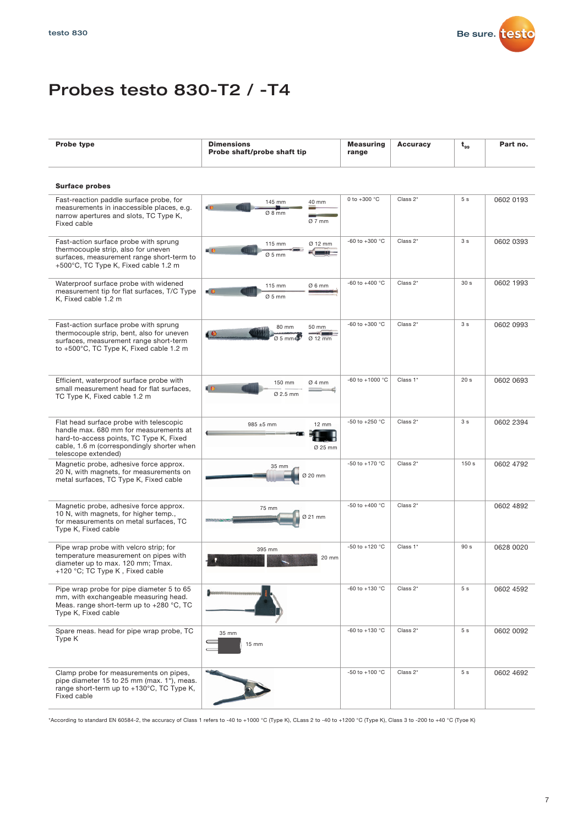

## Probes testo 830-T2 / -T4

| <b>Probe type</b>                                                                                                                                                                                 | <b>Dimensions</b><br>Probe shaft/probe shaft tip | <b>Measuring</b><br>range | <b>Accuracy</b> | $t_{gs}$        | Part no.  |
|---------------------------------------------------------------------------------------------------------------------------------------------------------------------------------------------------|--------------------------------------------------|---------------------------|-----------------|-----------------|-----------|
| <b>Surface probes</b>                                                                                                                                                                             |                                                  |                           |                 |                 |           |
| Fast-reaction paddle surface probe, for<br>measurements in inaccessible places, e.g.<br>narrow apertures and slots, TC Type K,<br>Fixed cable                                                     | 145 mm<br>40 mm<br>(O<br>Ø 8 mm<br>$Ø7$ mm       | 0 to +300 °C              | Class 2*        | 5s              | 0602 0193 |
| Fast-action surface probe with sprung<br>thermocouple strip, also for uneven<br>surfaces, measurement range short-term to<br>+500°C, TC Type K, Fixed cable 1.2 m                                 | Ø 12 mm<br>115 mm<br>нo<br>$Ø5$ mm               | -60 to +300 $^{\circ}$ C  | Class 2*        | 3 <sub>s</sub>  | 0602 0393 |
| Waterproof surface probe with widened<br>measurement tip for flat surfaces, T/C Type<br>K, Fixed cable 1.2 m                                                                                      | 115 mm<br>Ø6mm<br>dО<br>11 E E<br>$Ø5$ mm        | -60 to +400 $^{\circ}$ C  | Class 2*        | 30 <sub>s</sub> | 0602 1993 |
| Fast-action surface probe with sprung<br>thermocouple strip, bent, also for uneven<br>surfaces, measurement range short-term<br>to +500°C, TC Type K, Fixed cable 1.2 m                           | 80 mm<br>50 mm<br>40<br>$0.5$ mm/<br>$Ø 12$ mm   | -60 to +300 $^{\circ}$ C  | Class 2*        | 3 <sub>s</sub>  | 0602 0993 |
| Efficient, waterproof surface probe with<br>small measurement head for flat surfaces,<br>TC Type K, Fixed cable 1.2 m                                                                             | 150 mm<br>Ø4mm<br>4Đ<br>Ø 2.5 mm                 | -60 to +1000 $^{\circ}$ C | Class 1*        | 20 <sub>s</sub> | 0602 0693 |
| Flat head surface probe with telescopic<br>handle max. 680 mm for measurements at<br>hard-to-access points, TC Type K, Fixed<br>cable, 1.6 m (correspondingly shorter when<br>telescope extended) | 985 ±5 mm<br>$12 \text{ mm}$<br>Ø 25 mm          | -50 to +250 °C            | Class $2^*$     | 3 <sub>s</sub>  | 0602 2394 |
| Magnetic probe, adhesive force approx.<br>20 N, with magnets, for measurements on<br>metal surfaces, TC Type K, Fixed cable                                                                       | 35 mm<br>Ø 20 mm                                 | -50 to +170 °C            | Class 2*        | 150s            | 0602 4792 |
| Magnetic probe, adhesive force approx.<br>10 N, with magnets, for higher temp.,<br>for measurements on metal surfaces. TC<br>Type K, Fixed cable                                                  | 75 mm<br>Ø 21 mm                                 | -50 to +400 °C            | Class 2*        |                 | 0602 4892 |
| Pipe wrap probe with velcro strip; for<br>temperature measurement on pipes with<br>diameter up to max. 120 mm; Tmax.<br>+120 °C; TC Type K, Fixed cable                                           | 395 mm<br>20 mm                                  | -50 to +120 $^{\circ}$ C  | Class 1*        | 90 s            | 0628 0020 |
| Pipe wrap probe for pipe diameter 5 to 65<br>mm, with exchangeable measuring head.<br>Meas. range short-term up to +280 °C, TC<br>Type K, Fixed cable                                             |                                                  | -60 to +130 $^{\circ}$ C  | Class 2*        | 5s              | 0602 4592 |
| Spare meas. head for pipe wrap probe, TC<br>Type K                                                                                                                                                | 35 mm<br>15 mm                                   | -60 to +130 $^{\circ}$ C  | Class 2*        | 5 <sub>s</sub>  | 0602 0092 |
| Clamp probe for measurements on pipes,<br>pipe diameter 15 to 25 mm (max. 1"), meas.<br>range short-term up to +130°C, TC Type K,<br>Fixed cable                                                  |                                                  | -50 to +100 $^{\circ}$ C  | Class 2*        | 5s              | 0602 4692 |

\*According to standard EN 60584-2, the accuracy of Class 1 refers to -40 to +1000 °C (Type K), CLass 2 to -40 to +1200 °C (Type K), Class 3 to -200 to +40 °C (Tyoe K)